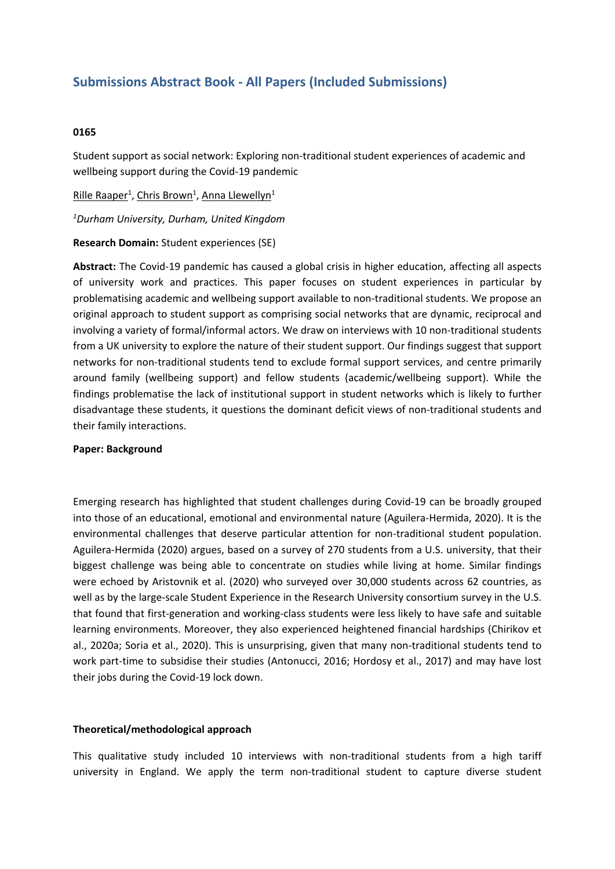# **Submissions Abstract Book - All Papers (Included Submissions)**

## **0165**

Student support as social network: Exploring non-traditional student experiences of academic and wellbeing support during the Covid-19 pandemic

Rille Raaper<sup>1</sup>, <u>Chris Brown<sup>1</sup>, Anna Llewellyn</u><sup>1</sup>

*1 Durham University, Durham, United Kingdom*

**Research Domain:** Student experiences (SE)

**Abstract:** The Covid-19 pandemic has caused <sup>a</sup> global crisis in higher education, affecting all aspects of university work and practices. This paper focuses on student experiences in particular by problematising academic and wellbeing support available to non-traditional students. We propose an original approach to student support as comprising social networks that are dynamic, reciprocal and involving <sup>a</sup> variety of formal/informal actors. We draw on interviews with 10 non-traditional students from <sup>a</sup> UK university to explore the nature of their student support. Our findings suggest that support networks for non-traditional students tend to exclude formal support services, and centre primarily around family (wellbeing support) and fellow students (academic/wellbeing support). While the findings problematise the lack of institutional support in student networks which is likely to further disadvantage these students, it questions the dominant deficit views of non-traditional students and their family interactions.

#### **Paper: Background**

Emerging research has highlighted that student challenges during Covid-19 can be broadly grouped into those of an educational, emotional and environmental nature (Aguilera-Hermida, 2020). It is the environmental challenges that deserve particular attention for non-traditional student population. Aguilera-Hermida (2020) argues, based on <sup>a</sup> survey of 270 students from <sup>a</sup> U.S. university, that their biggest challenge was being able to concentrate on studies while living at home. Similar findings were echoed by Aristovnik et al. (2020) who surveyed over 30,000 students across 62 countries, as well as by the large-scale Student Experience in the Research University consortium survey in the U.S. that found that first-generation and working-class students were less likely to have safe and suitable learning environments. Moreover, they also experienced heightened financial hardships (Chirikov et al., 2020a; Soria et al., 2020). This is unsurprising, given that many non-traditional students tend to work part-time to subsidise their studies (Antonucci, 2016; Hordosy et al., 2017) and may have lost their jobs during the Covid-19 lock down.

#### **Theoretical/methodological approach**

This qualitative study included 10 interviews with non-traditional students from <sup>a</sup> high tariff university in England. We apply the term non-traditional student to capture diverse student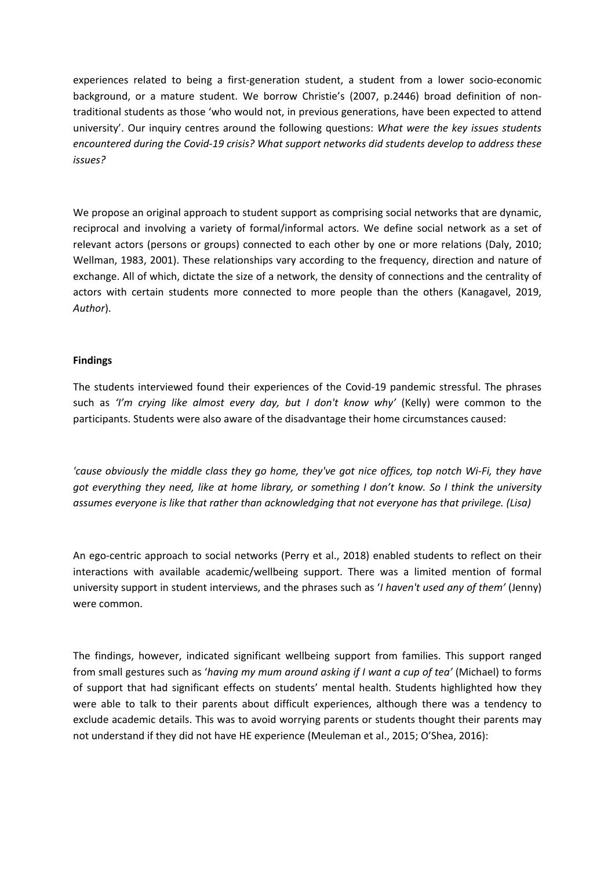experiences related to being <sup>a</sup> first-generation student, <sup>a</sup> student from <sup>a</sup> lower socio-economic background, or <sup>a</sup> mature student. We borrow Christie's (2007, p.2446) broad definition of nontraditional students as those 'who would not, in previous generations, have been expected to attend university'. Our inquiry centres around the following questions: *What were the key issues students encountered during the Covid-19 crisis? What support networks did students develop to address these issues?*

We propose an original approach to student support as comprising social networks that are dynamic, reciprocal and involving <sup>a</sup> variety of formal/informal actors. We define social network as <sup>a</sup> set of relevant actors (persons or groups) connected to each other by one or more relations (Daly, 2010; Wellman, 1983, 2001). These relationships vary according to the frequency, direction and nature of exchange. All of which, dictate the size of <sup>a</sup> network, the density of connections and the centrality of actors with certain students more connected to more people than the others (Kanagavel, 2019, *Author*).

## **Findings**

The students interviewed found their experiences of the Covid-19 pandemic stressful. The phrases such as *'I'm crying like almost every day, but I don't know why'* (Kelly) were common to the participants. Students were also aware of the disadvantage their home circumstances caused:

*'cause obviously the middle class they go home, they've got nice offices, top notch Wi-Fi, they have* got everything they need, like at home library, or something I don't know. So I think the university *assumes everyone is like that rather than acknowledging that not everyone has that privilege. (Lisa)*

An ego-centric approach to social networks (Perry et al., 2018) enabled students to reflect on their interactions with available academic/wellbeing support. There was <sup>a</sup> limited mention of formal university support in student interviews, and the phrases such as '*I haven't used any of them'* (Jenny) were common.

The findings, however, indicated significant wellbeing support from families. This support ranged from small gestures such as '*having my mum around asking if I want <sup>a</sup> cup of tea'* (Michael) to forms of support that had significant effects on students' mental health. Students highlighted how they were able to talk to their parents about difficult experiences, although there was <sup>a</sup> tendency to exclude academic details. This was to avoid worrying parents or students thought their parents may not understand if they did not have HE experience (Meuleman et al., 2015; O'Shea, 2016):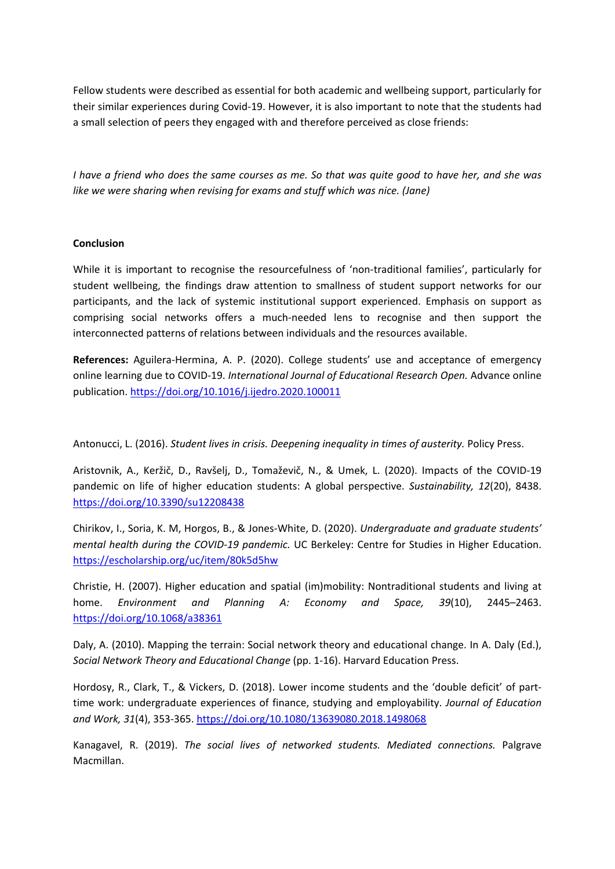Fellow students were described as essential for both academic and wellbeing support, particularly for their similar experiences during Covid-19. However, it is also important to note that the students had <sup>a</sup> small selection of peers they engaged with and therefore perceived as close friends:

I have a friend who does the same courses as me. So that was quite good to have her, and she was *like we were sharing when revising for exams and stuff which was nice. (Jane)*

## **Conclusion**

While it is important to recognise the resourcefulness of 'non-traditional families', particularly for student wellbeing, the findings draw attention to smallness of student support networks for our participants, and the lack of systemic institutional support experienced. Emphasis on support as comprising social networks offers <sup>a</sup> much-needed lens to recognise and then support the interconnected patterns of relations between individuals and the resources available.

**References:** Aguilera-Hermina, A. P. (2020). College students' use and acceptance of emergency online learning due to COVID-19. *International Journal of Educational Research Open.* Advance online publication. <https://doi.org/10.1016/j.ijedro.2020.100011>

# Antonucci, L. (2016). *Student lives in crisis. Deepening inequality in times of austerity.* Policy Press.

Aristovnik, A., Keržič, D., Ravšelj, D., Tomaževič, N., & Umek, L. (2020). Impacts of the COVID-19 pandemic on life of higher education students: A global perspective. *Sustainability, 12*(20), 8438. <https://doi.org/10.3390/su12208438>

Chirikov, I., Soria, K. M, Horgos, B., & Jones-White, D. (2020). *Undergraduate and graduate students' mental health during the COVID-19 pandemic.* UC Berkeley: Centre for Studies in Higher Education. <https://escholarship.org/uc/item/80k5d5hw>

Christie, H. (2007). Higher education and spatial (im)mobility: Nontraditional students and living at home. *Environment and Planning A: Economy and Space, 39*(10), 2445–2463. [https://doi.org/10.1068/a38361](https://doi.org/10.1068%2Fa38361)

Daly, A. (2010). Mapping the terrain: Social network theory and educational change. In A. Daly (Ed.), *Social Network Theory and Educational Change* (pp. 1-16). Harvard Education Press.

Hordosy, R., Clark, T., & Vickers, D. (2018). Lower income students and the 'double deficit' of parttime work: undergraduate experiences of finance, studying and employability. *Journal of Education and Work, 31*(4), 353-365. <https://doi.org/10.1080/13639080.2018.1498068>

Kanagavel, R. (2019). *The social lives of networked students. Mediated connections.* Palgrave Macmillan.